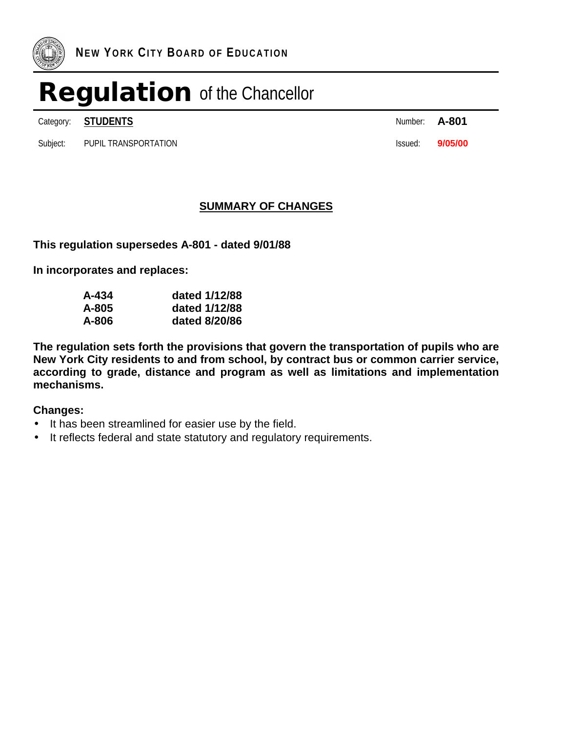

Category: **STUDENTS A-801** 

Subject: PUPIL TRANSPORTATION **Issued: 9/05/00** 

| Number: | A-801 |
|---------|-------|
|         |       |

### **SUMMARY OF CHANGES**

**This regulation supersedes A-801 - dated 9/01/88**

**In incorporates and replaces:**

| A-434 | dated 1/12/88 |
|-------|---------------|
| A-805 | dated 1/12/88 |
| A-806 | dated 8/20/86 |

**The regulation sets forth the provisions that govern the transportation of pupils who are New York City residents to and from school, by contract bus or common carrier service, according to grade, distance and program as well as limitations and implementation mechanisms.**

### **Changes:**

- It has been streamlined for easier use by the field.
- It reflects federal and state statutory and regulatory requirements.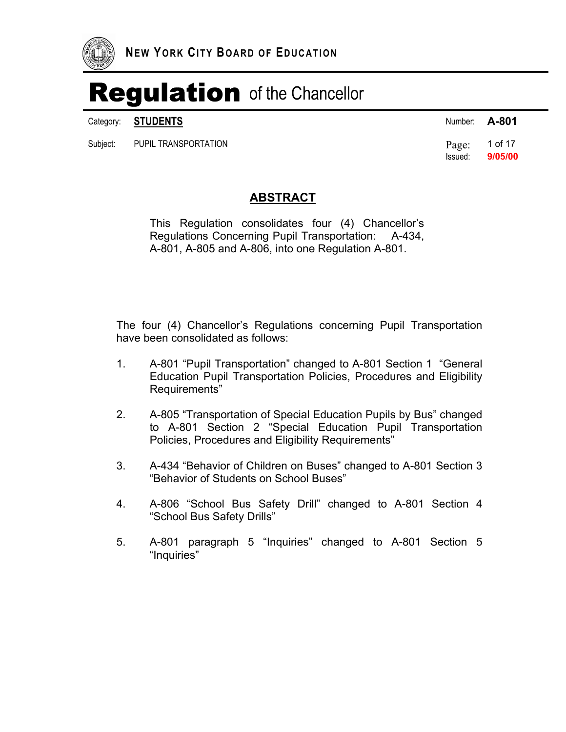

Category: **STUDENTS** Number: **A-801** 

Subject: PUPIL TRANSPORTATION **Page:** 1 of 17

Issued: **9/05/00** 

### **ABSTRACT**

This Regulation consolidates four (4) Chancellor's Regulations Concerning Pupil Transportation: A-434, A-801, A-805 and A-806, into one Regulation A-801.

The four (4) Chancellor's Regulations concerning Pupil Transportation have been consolidated as follows:

- 1. A-801 "Pupil Transportation" changed to A-801 Section 1 "General Education Pupil Transportation Policies, Procedures and Eligibility Requirements"
- 2. A-805 "Transportation of Special Education Pupils by Bus" changed to A-801 Section 2 "Special Education Pupil Transportation Policies, Procedures and Eligibility Requirements"
- 3. A-434 "Behavior of Children on Buses" changed to A-801 Section 3 "Behavior of Students on School Buses"
- 4. A-806 "School Bus Safety Drill" changed to A-801 Section 4 "School Bus Safety Drills"
- 5. A-801 paragraph 5 "Inquiries" changed to A-801 Section 5 "Inquiries"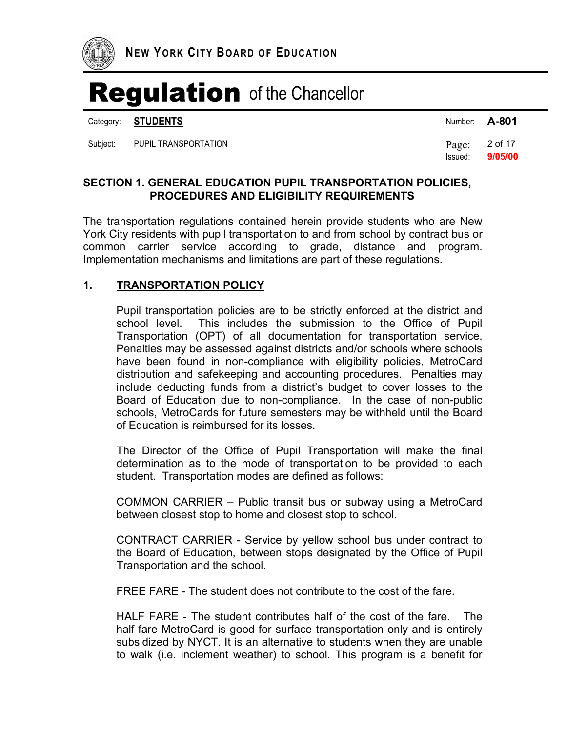

Category: **STUDENTS** 

Subject: PUPIL TRANSPORTATION **Page:** 2 of 17

| Number: | A-801 |  |  |
|---------|-------|--|--|
|         |       |  |  |

Issued: **9/05/00** 

### **SECTION 1. GENERAL EDUCATION PUPIL TRANSPORTATION POLICIES, PROCEDURES AND ELIGIBILITY REQUIREMENTS**

The transportation regulations contained herein provide students who are New York City residents with pupil transportation to and from school by contract bus or common carrier service according to grade, distance and program. Implementation mechanisms and limitations are part of these regulations.

### **1. TRANSPORTATION POLICY**

Pupil transportation policies are to be strictly enforced at the district and school level. This includes the submission to the Office of Pupil Transportation (OPT) of all documentation for transportation service. Penalties may be assessed against districts and/or schools where schools have been found in non-compliance with eligibility policies, MetroCard distribution and safekeeping and accounting procedures. Penalties may include deducting funds from a district's budget to cover losses to the Board of Education due to non-compliance. In the case of non-public schools, MetroCards for future semesters may be withheld until the Board of Education is reimbursed for its losses.

The Director of the Office of Pupil Transportation will make the final determination as to the mode of transportation to be provided to each student. Transportation modes are defined as follows:

COMMON CARRIER – Public transit bus or subway using a MetroCard between closest stop to home and closest stop to school.

CONTRACT CARRIER - Service by yellow school bus under contract to the Board of Education, between stops designated by the Office of Pupil Transportation and the school.

FREE FARE - The student does not contribute to the cost of the fare.

HALF FARE - The student contributes half of the cost of the fare. The half fare MetroCard is good for surface transportation only and is entirely subsidized by NYCT. It is an alternative to students when they are unable to walk (i.e. inclement weather) to school. This program is a benefit for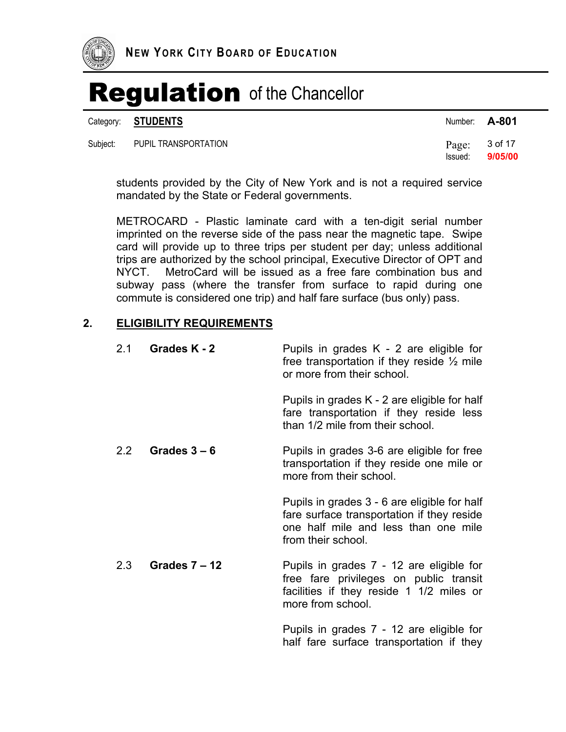

Category: **STUDENTS** Number: **A-801** 

| Subject: | PUPIL TRANSPORTATION |  | Page: $3$ of 17 |
|----------|----------------------|--|-----------------|
|----------|----------------------|--|-----------------|

| inumber: | A-OU I  |
|----------|---------|
| Page:    | 3 of 17 |

Issued: **9/05/00** 

students provided by the City of New York and is not a required service mandated by the State or Federal governments.

METROCARD - Plastic laminate card with a ten-digit serial number imprinted on the reverse side of the pass near the magnetic tape. Swipe card will provide up to three trips per student per day; unless additional trips are authorized by the school principal, Executive Director of OPT and NYCT. MetroCard will be issued as a free fare combination bus and subway pass (where the transfer from surface to rapid during one commute is considered one trip) and half fare surface (bus only) pass.

#### **2. ELIGIBILITY REQUIREMENTS**

| 2.1 | Grades K - 2    | Pupils in grades $K - 2$ are eligible for<br>free transportation if they reside $\frac{1}{2}$ mile<br>or more from their school.                         |
|-----|-----------------|----------------------------------------------------------------------------------------------------------------------------------------------------------|
|     |                 | Pupils in grades K - 2 are eligible for half<br>fare transportation if they reside less<br>than 1/2 mile from their school.                              |
| 2.2 | Grades $3-6$    | Pupils in grades 3-6 are eligible for free<br>transportation if they reside one mile or<br>more from their school.                                       |
|     |                 | Pupils in grades 3 - 6 are eligible for half<br>fare surface transportation if they reside<br>one half mile and less than one mile<br>from their school. |
| 2.3 | Grades $7 - 12$ | Pupils in grades 7 - 12 are eligible for<br>free fare privileges on public transit<br>facilities if they reside 1 1/2 miles or<br>more from school.      |
|     |                 | Pupils in grades 7 - 12 are eligible for                                                                                                                 |

Pupils in grades 7 - 12 are eligible for half fare surface transportation if they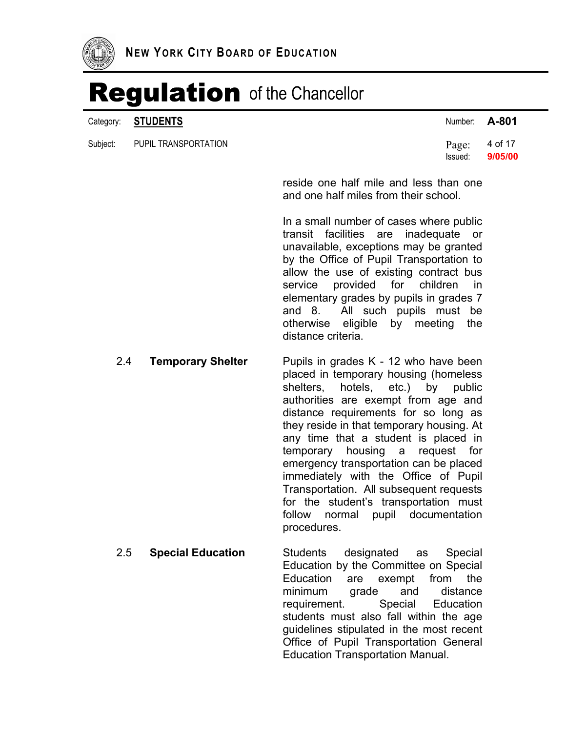

|          | Category: <b>STUDENTS</b> | Number: <b>A-801</b>       |         |
|----------|---------------------------|----------------------------|---------|
| Subject: | PUPIL TRANSPORTATION      | Page: $4$ of 17<br>Issued: | 9/05/00 |

reside one half mile and less than one and one half miles from their school.

In a small number of cases where public transit facilities are inadequate or unavailable, exceptions may be granted by the Office of Pupil Transportation to allow the use of existing contract bus service provided for children in elementary grades by pupils in grades 7 and 8. All such pupils must be otherwise eligible by meeting the distance criteria.

- 2.4 **Temporary Shelter** Pupils in grades K 12 who have been placed in temporary housing (homeless shelters, hotels, etc.) by public authorities are exempt from age and distance requirements for so long as they reside in that temporary housing. At any time that a student is placed in temporary housing a request for emergency transportation can be placed immediately with the Office of Pupil Transportation. All subsequent requests for the student's transportation must follow normal pupil documentation procedures.
	- 2.5 **Special Education** Students designated as Special Education by the Committee on Special Education are exempt from the minimum grade and distance requirement. Special Education students must also fall within the age guidelines stipulated in the most recent Office of Pupil Transportation General Education Transportation Manual.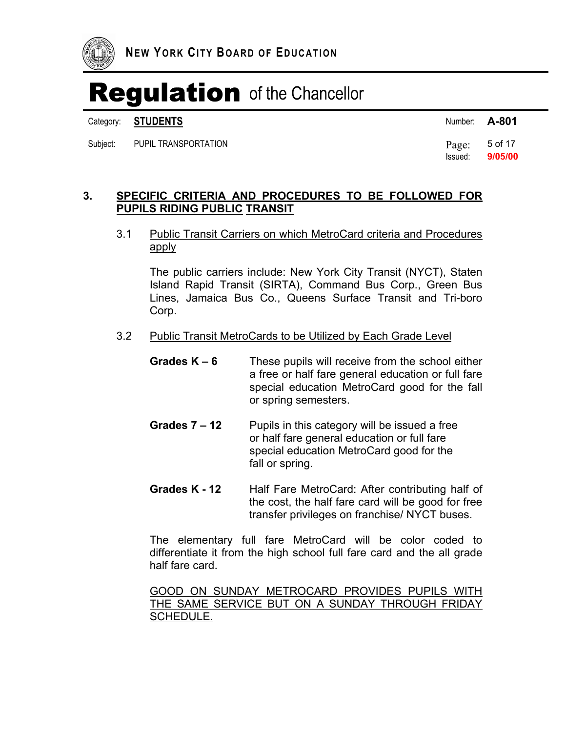

Category: **STUDENTS** Number: **A-801** 

Subject: PUPIL TRANSPORTATION **Page:** 5 of 17

Issued: **9/05/00** 

### **3. SPECIFIC CRITERIA AND PROCEDURES TO BE FOLLOWED FOR PUPILS RIDING PUBLIC TRANSIT**

### 3.1 Public Transit Carriers on which MetroCard criteria and Procedures apply

The public carriers include: New York City Transit (NYCT), Staten Island Rapid Transit (SIRTA), Command Bus Corp., Green Bus Lines, Jamaica Bus Co., Queens Surface Transit and Tri-boro Corp.

#### 3.2 Public Transit MetroCards to be Utilized by Each Grade Level

- **Grades K 6** These pupils will receive from the school either a free or half fare general education or full fare special education MetroCard good for the fall or spring semesters.
- **Grades 7 12** Pupils in this category will be issued a free or half fare general education or full fare special education MetroCard good for the fall or spring.
- **Grades K 12** Half Fare MetroCard: After contributing half of the cost, the half fare card will be good for free transfer privileges on franchise/ NYCT buses.

The elementary full fare MetroCard will be color coded to differentiate it from the high school full fare card and the all grade half fare card.

GOOD ON SUNDAY METROCARD PROVIDES PUPILS WITH THE SAME SERVICE BUT ON A SUNDAY THROUGH FRIDAY SCHEDULE.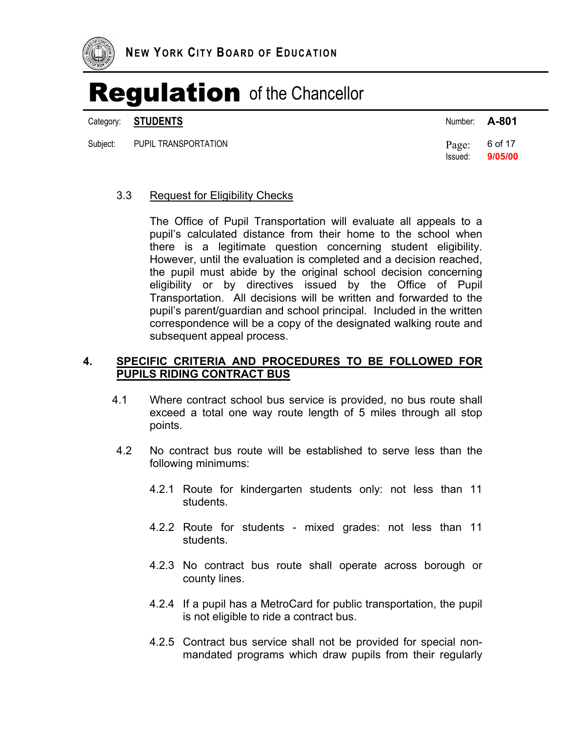

Category: **STUDENTS** 

Subject: PUPIL TRANSPORTATION **Page:** 6 of 17

| Number: | A-801 |
|---------|-------|
|         |       |

Issued: **9/05/00** 

#### 3.3 Request for Eligibility Checks

The Office of Pupil Transportation will evaluate all appeals to a pupil's calculated distance from their home to the school when there is a legitimate question concerning student eligibility. However, until the evaluation is completed and a decision reached, the pupil must abide by the original school decision concerning eligibility or by directives issued by the Office of Pupil Transportation. All decisions will be written and forwarded to the pupil's parent/guardian and school principal. Included in the written correspondence will be a copy of the designated walking route and subsequent appeal process.

### **4. SPECIFIC CRITERIA AND PROCEDURES TO BE FOLLOWED FOR PUPILS RIDING CONTRACT BUS**

- 4.1 Where contract school bus service is provided, no bus route shall exceed a total one way route length of 5 miles through all stop points.
- 4.2 No contract bus route will be established to serve less than the following minimums:
	- 4.2.1 Route for kindergarten students only: not less than 11 students.
	- 4.2.2 Route for students mixed grades: not less than 11 students.
	- 4.2.3 No contract bus route shall operate across borough or county lines.
	- 4.2.4 If a pupil has a MetroCard for public transportation, the pupil is not eligible to ride a contract bus.
	- 4.2.5 Contract bus service shall not be provided for special nonmandated programs which draw pupils from their regularly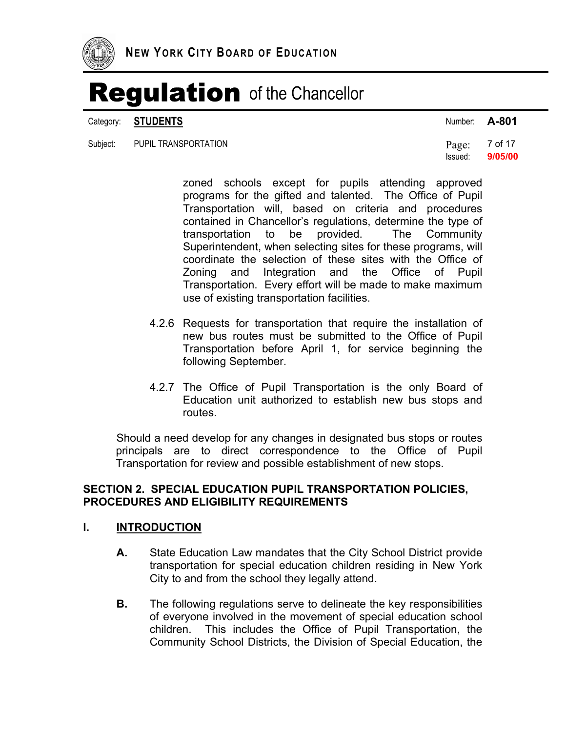

Category: **STUDENTS** Number: **A-801** 

| Subject: PUPIL TRANSPORTATION | Page: $7$ of 17 |
|-------------------------------|-----------------|
|                               | Issued: 9/05/00 |

zoned schools except for pupils attending approved programs for the gifted and talented. The Office of Pupil Transportation will, based on criteria and procedures contained in Chancellor's regulations, determine the type of transportation to be provided. The Community Superintendent, when selecting sites for these programs, will coordinate the selection of these sites with the Office of Zoning and Integration and the Office of Pupil Transportation. Every effort will be made to make maximum use of existing transportation facilities.

- 4.2.6 Requests for transportation that require the installation of new bus routes must be submitted to the Office of Pupil Transportation before April 1, for service beginning the following September.
- 4.2.7 The Office of Pupil Transportation is the only Board of Education unit authorized to establish new bus stops and routes.

Should a need develop for any changes in designated bus stops or routes principals are to direct correspondence to the Office of Pupil Transportation for review and possible establishment of new stops.

### **SECTION 2. SPECIAL EDUCATION PUPIL TRANSPORTATION POLICIES, PROCEDURES AND ELIGIBILITY REQUIREMENTS**

#### **I. INTRODUCTION**

- **A.** State Education Law mandates that the City School District provide transportation for special education children residing in New York City to and from the school they legally attend.
- **B.** The following regulations serve to delineate the key responsibilities of everyone involved in the movement of special education school children. This includes the Office of Pupil Transportation, the Community School Districts, the Division of Special Education, the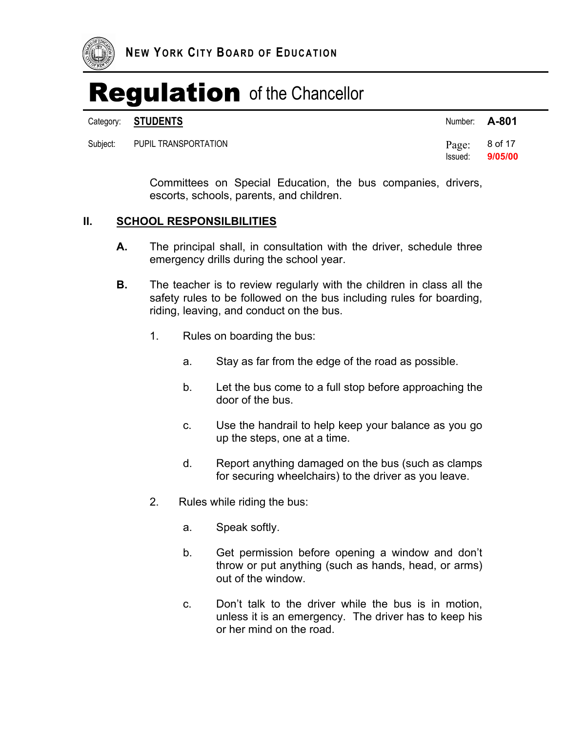

Category: **STUDENTS A-801** 

Subject: PUPIL TRANSPORTATION

| .     | .       |
|-------|---------|
| Page: | 8 of 17 |

Committees on Special Education, the bus companies, drivers, escorts, schools, parents, and children.

Issued: **9/05/00** 

### **II. SCHOOL RESPONSILBILITIES**

- **A.** The principal shall, in consultation with the driver, schedule three emergency drills during the school year.
- **B.** The teacher is to review regularly with the children in class all the safety rules to be followed on the bus including rules for boarding, riding, leaving, and conduct on the bus.
	- 1. Rules on boarding the bus:
		- a. Stay as far from the edge of the road as possible.
		- b. Let the bus come to a full stop before approaching the door of the bus.
		- c. Use the handrail to help keep your balance as you go up the steps, one at a time.
		- d. Report anything damaged on the bus (such as clamps for securing wheelchairs) to the driver as you leave.
	- 2. Rules while riding the bus:
		- a. Speak softly.
		- b. Get permission before opening a window and don't throw or put anything (such as hands, head, or arms) out of the window.
		- c. Don't talk to the driver while the bus is in motion, unless it is an emergency. The driver has to keep his or her mind on the road.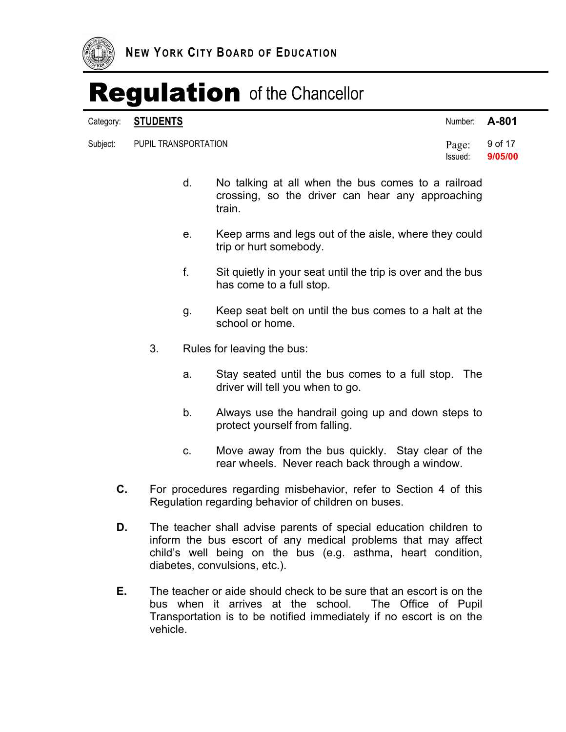

#### Category: **STUDENTS**

Subject: PUPIL TRANSPORTATION **Page:** 9 of 17

| A-801 |
|-------|
|       |

Issued: **9/05/00** 

- d. No talking at all when the bus comes to a railroad crossing, so the driver can hear any approaching train.
- e. Keep arms and legs out of the aisle, where they could trip or hurt somebody.
- f. Sit quietly in your seat until the trip is over and the bus has come to a full stop.
- g. Keep seat belt on until the bus comes to a halt at the school or home.
- 3. Rules for leaving the bus:
	- a. Stay seated until the bus comes to a full stop. The driver will tell you when to go.
	- b. Always use the handrail going up and down steps to protect yourself from falling.
	- c. Move away from the bus quickly. Stay clear of the rear wheels. Never reach back through a window.
- **C.** For procedures regarding misbehavior, refer to Section 4 of this Regulation regarding behavior of children on buses.
- **D.** The teacher shall advise parents of special education children to inform the bus escort of any medical problems that may affect child's well being on the bus (e.g. asthma, heart condition, diabetes, convulsions, etc.).
- **E.** The teacher or aide should check to be sure that an escort is on the bus when it arrives at the school. The Office of Pupil Transportation is to be notified immediately if no escort is on the vehicle.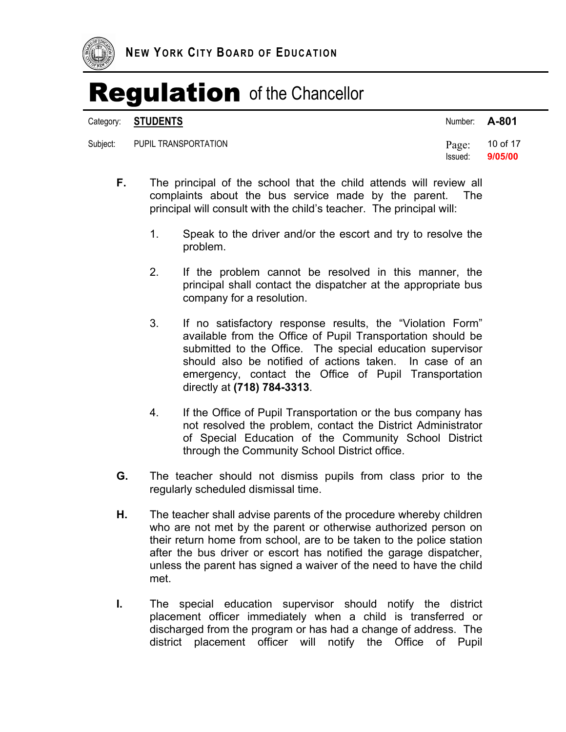

#### Category: **STUDENTS** Number: **A-801**

Subject: PUPIL TRANSPORTATION **Page:** 10 of 17

Issued: **9/05/00** 

- **F.** The principal of the school that the child attends will review all complaints about the bus service made by the parent. The principal will consult with the child's teacher. The principal will:
	- 1. Speak to the driver and/or the escort and try to resolve the problem.
	- 2. If the problem cannot be resolved in this manner, the principal shall contact the dispatcher at the appropriate bus company for a resolution.
	- 3. If no satisfactory response results, the "Violation Form" available from the Office of Pupil Transportation should be submitted to the Office. The special education supervisor should also be notified of actions taken. In case of an emergency, contact the Office of Pupil Transportation directly at **(718) 784-3313**.
	- 4. If the Office of Pupil Transportation or the bus company has not resolved the problem, contact the District Administrator of Special Education of the Community School District through the Community School District office.
- **G.** The teacher should not dismiss pupils from class prior to the regularly scheduled dismissal time.
- **H.** The teacher shall advise parents of the procedure whereby children who are not met by the parent or otherwise authorized person on their return home from school, are to be taken to the police station after the bus driver or escort has notified the garage dispatcher, unless the parent has signed a waiver of the need to have the child met.
- **I.** The special education supervisor should notify the district placement officer immediately when a child is transferred or discharged from the program or has had a change of address. The district placement officer will notify the Office of Pupil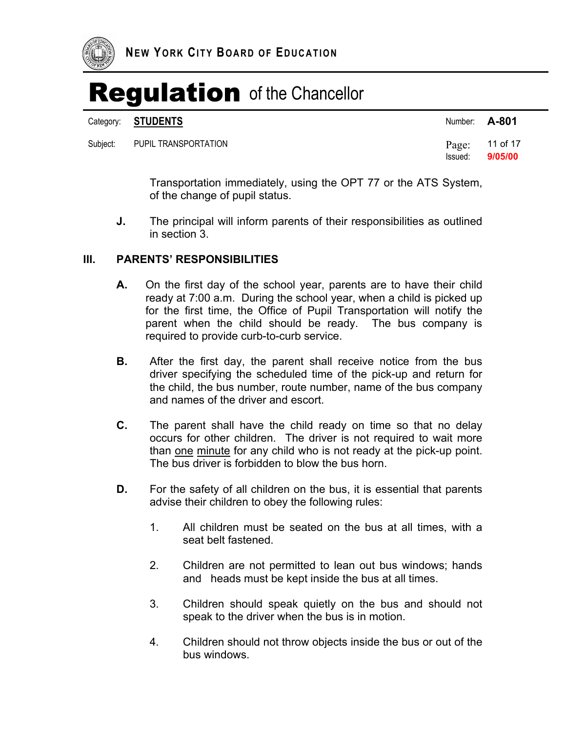

|          | Category: STUDENTS   | Number: A-801 |                             |
|----------|----------------------|---------------|-----------------------------|
| Subiect: | PUPIL TRANSPORTATION | Issued:       | Page: $11$ of 17<br>9/05/00 |

Transportation immediately, using the OPT 77 or the ATS System, of the change of pupil status.

**J.** The principal will inform parents of their responsibilities as outlined in section 3.

#### **III. PARENTS' RESPONSIBILITIES**

- **A.** On the first day of the school year, parents are to have their child ready at 7:00 a.m. During the school year, when a child is picked up for the first time, the Office of Pupil Transportation will notify the parent when the child should be ready. The bus company is required to provide curb-to-curb service.
- **B.** After the first day, the parent shall receive notice from the bus driver specifying the scheduled time of the pick-up and return for the child, the bus number, route number, name of the bus company and names of the driver and escort.
- **C.** The parent shall have the child ready on time so that no delay occurs for other children. The driver is not required to wait more than one minute for any child who is not ready at the pick-up point. The bus driver is forbidden to blow the bus horn.
- **D.** For the safety of all children on the bus, it is essential that parents advise their children to obey the following rules:
	- 1. All children must be seated on the bus at all times, with a seat belt fastened.
	- 2. Children are not permitted to lean out bus windows; hands and heads must be kept inside the bus at all times.
	- 3. Children should speak quietly on the bus and should not speak to the driver when the bus is in motion.
	- 4. Children should not throw objects inside the bus or out of the bus windows.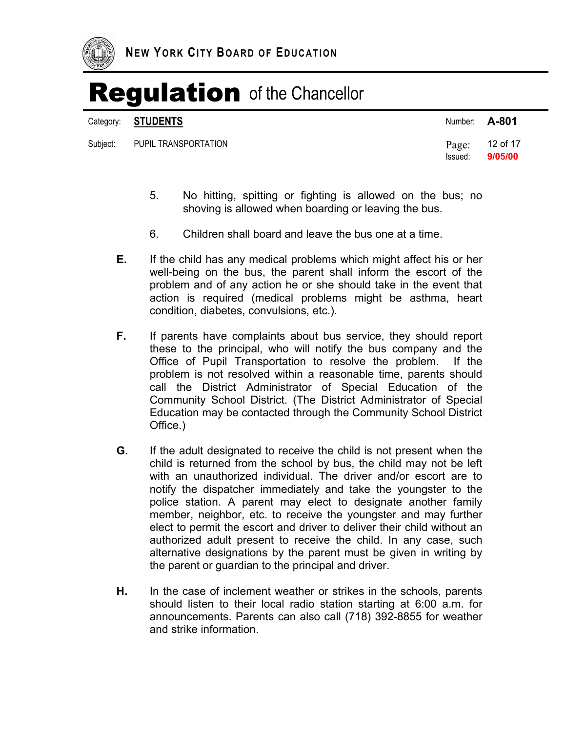

Category: **STUDENTS** Number: **A-801** 

| Subject: PUPIL TRANSPORTATION | Page: $12$ of 17<br>Issued: 9/05/00 |
|-------------------------------|-------------------------------------|

- 5. No hitting, spitting or fighting is allowed on the bus; no shoving is allowed when boarding or leaving the bus.
- 6. Children shall board and leave the bus one at a time.
- **E.** If the child has any medical problems which might affect his or her well-being on the bus, the parent shall inform the escort of the problem and of any action he or she should take in the event that action is required (medical problems might be asthma, heart condition, diabetes, convulsions, etc.).
- **F.** If parents have complaints about bus service, they should report these to the principal, who will notify the bus company and the Office of Pupil Transportation to resolve the problem. If the problem is not resolved within a reasonable time, parents should call the District Administrator of Special Education of the Community School District. (The District Administrator of Special Education may be contacted through the Community School District Office.)
- **G.** If the adult designated to receive the child is not present when the child is returned from the school by bus, the child may not be left with an unauthorized individual. The driver and/or escort are to notify the dispatcher immediately and take the youngster to the police station. A parent may elect to designate another family member, neighbor, etc. to receive the youngster and may further elect to permit the escort and driver to deliver their child without an authorized adult present to receive the child. In any case, such alternative designations by the parent must be given in writing by the parent or guardian to the principal and driver.
- **H.** In the case of inclement weather or strikes in the schools, parents should listen to their local radio station starting at 6:00 a.m. for announcements. Parents can also call (718) 392-8855 for weather and strike information.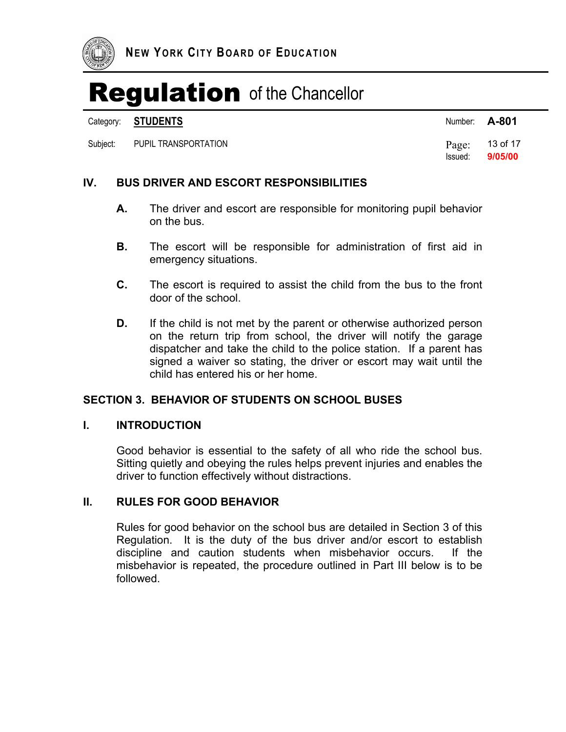

Category: **STUDENTS** Number: **A-801** 

Subject: PUPIL TRANSPORTATION **Page:** 13 of 17

Issued: **9/05/00** 

### **IV. BUS DRIVER AND ESCORT RESPONSIBILITIES**

- **A.** The driver and escort are responsible for monitoring pupil behavior on the bus.
- **B.** The escort will be responsible for administration of first aid in emergency situations.
- **C.** The escort is required to assist the child from the bus to the front door of the school.
- **D.** If the child is not met by the parent or otherwise authorized person on the return trip from school, the driver will notify the garage dispatcher and take the child to the police station. If a parent has signed a waiver so stating, the driver or escort may wait until the child has entered his or her home.

### **SECTION 3. BEHAVIOR OF STUDENTS ON SCHOOL BUSES**

#### **I. INTRODUCTION**

Good behavior is essential to the safety of all who ride the school bus. Sitting quietly and obeying the rules helps prevent injuries and enables the driver to function effectively without distractions.

#### **II. RULES FOR GOOD BEHAVIOR**

Rules for good behavior on the school bus are detailed in Section 3 of this Regulation. It is the duty of the bus driver and/or escort to establish discipline and caution students when misbehavior occurs. If the misbehavior is repeated, the procedure outlined in Part III below is to be followed.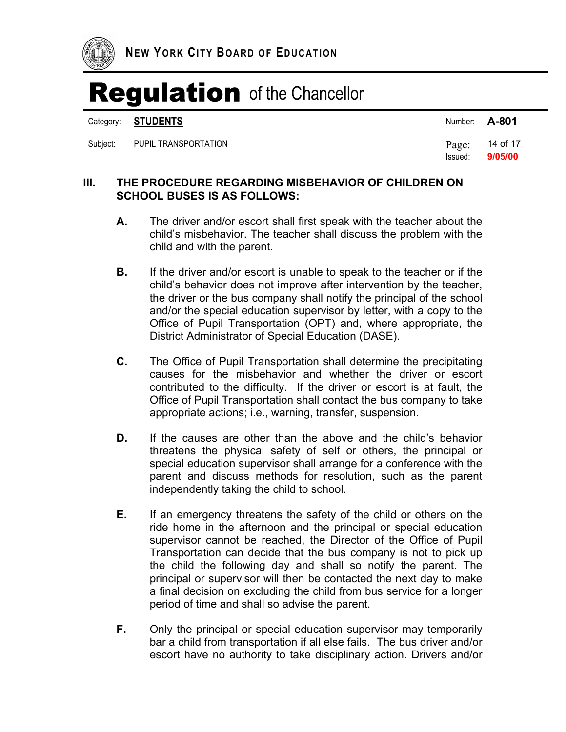

|          | Category: STUDENTS   | Number: <b>A-801</b> |                             |
|----------|----------------------|----------------------|-----------------------------|
| Subiect: | PUPIL TRANSPORTATION | Issued:              | Page: $14$ of 17<br>9/05/00 |

### **III. THE PROCEDURE REGARDING MISBEHAVIOR OF CHILDREN ON SCHOOL BUSES IS AS FOLLOWS:**

- **A.** The driver and/or escort shall first speak with the teacher about the child's misbehavior. The teacher shall discuss the problem with the child and with the parent.
- **B.** If the driver and/or escort is unable to speak to the teacher or if the child's behavior does not improve after intervention by the teacher, the driver or the bus company shall notify the principal of the school and/or the special education supervisor by letter, with a copy to the Office of Pupil Transportation (OPT) and, where appropriate, the District Administrator of Special Education (DASE).
- **C.** The Office of Pupil Transportation shall determine the precipitating causes for the misbehavior and whether the driver or escort contributed to the difficulty. If the driver or escort is at fault, the Office of Pupil Transportation shall contact the bus company to take appropriate actions; i.e., warning, transfer, suspension.
- **D.** If the causes are other than the above and the child's behavior threatens the physical safety of self or others, the principal or special education supervisor shall arrange for a conference with the parent and discuss methods for resolution, such as the parent independently taking the child to school.
- **E.** If an emergency threatens the safety of the child or others on the ride home in the afternoon and the principal or special education supervisor cannot be reached, the Director of the Office of Pupil Transportation can decide that the bus company is not to pick up the child the following day and shall so notify the parent. The principal or supervisor will then be contacted the next day to make a final decision on excluding the child from bus service for a longer period of time and shall so advise the parent.
- **F.** Only the principal or special education supervisor may temporarily bar a child from transportation if all else fails. The bus driver and/or escort have no authority to take disciplinary action. Drivers and/or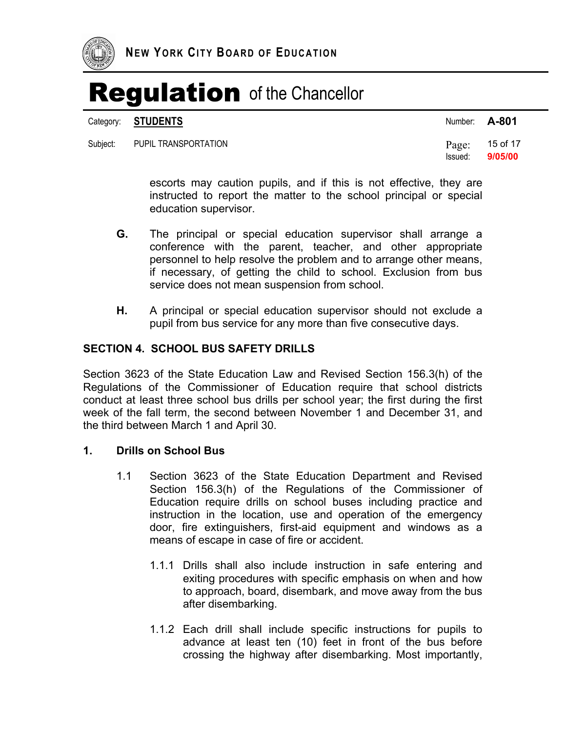

Category: **STUDENTS** Number: **A-801** 

Subject: PUPIL TRANSPORTATION **Page:** 15 of 17

Issued: **9/05/00** 

escorts may caution pupils, and if this is not effective, they are instructed to report the matter to the school principal or special education supervisor.

- **G.** The principal or special education supervisor shall arrange a conference with the parent, teacher, and other appropriate personnel to help resolve the problem and to arrange other means, if necessary, of getting the child to school. Exclusion from bus service does not mean suspension from school.
- **H.** A principal or special education supervisor should not exclude a pupil from bus service for any more than five consecutive days.

#### **SECTION 4. SCHOOL BUS SAFETY DRILLS**

Section 3623 of the State Education Law and Revised Section 156.3(h) of the Regulations of the Commissioner of Education require that school districts conduct at least three school bus drills per school year; the first during the first week of the fall term, the second between November 1 and December 31, and the third between March 1 and April 30.

#### **1. Drills on School Bus**

- 1.1 Section 3623 of the State Education Department and Revised Section 156.3(h) of the Regulations of the Commissioner of Education require drills on school buses including practice and instruction in the location, use and operation of the emergency door, fire extinguishers, first-aid equipment and windows as a means of escape in case of fire or accident.
	- 1.1.1 Drills shall also include instruction in safe entering and exiting procedures with specific emphasis on when and how to approach, board, disembark, and move away from the bus after disembarking.
	- 1.1.2 Each drill shall include specific instructions for pupils to advance at least ten (10) feet in front of the bus before crossing the highway after disembarking. Most importantly,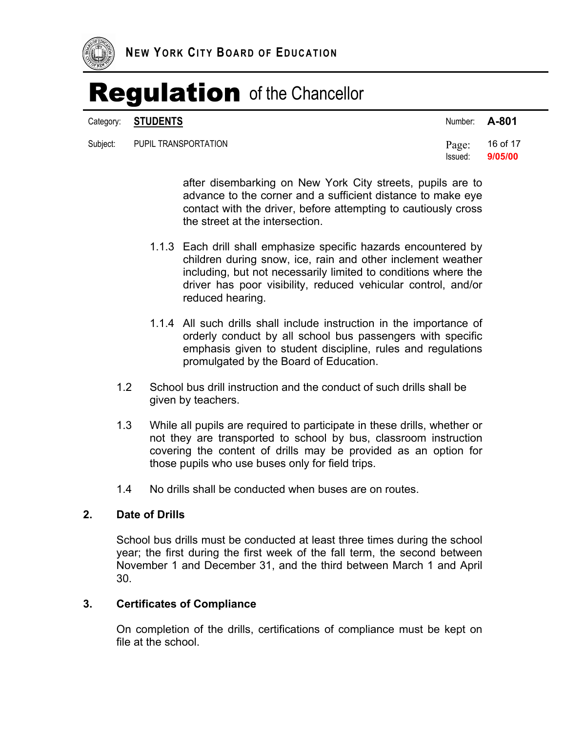

Category: **STUDENTS** 

#### Subject: PUPIL TRANSPORTATION **Page:** 16 of 17

| Number: | A-801 |
|---------|-------|
|---------|-------|

Issued: **9/05/00** 

after disembarking on New York City streets, pupils are to advance to the corner and a sufficient distance to make eye contact with the driver, before attempting to cautiously cross the street at the intersection.

- 1.1.3 Each drill shall emphasize specific hazards encountered by children during snow, ice, rain and other inclement weather including, but not necessarily limited to conditions where the driver has poor visibility, reduced vehicular control, and/or reduced hearing.
- 1.1.4 All such drills shall include instruction in the importance of orderly conduct by all school bus passengers with specific emphasis given to student discipline, rules and regulations promulgated by the Board of Education.
- 1.2 School bus drill instruction and the conduct of such drills shall be given by teachers.
- 1.3 While all pupils are required to participate in these drills, whether or not they are transported to school by bus, classroom instruction covering the content of drills may be provided as an option for those pupils who use buses only for field trips.
- 1.4 No drills shall be conducted when buses are on routes.

### **2. Date of Drills**

School bus drills must be conducted at least three times during the school year; the first during the first week of the fall term, the second between November 1 and December 31, and the third between March 1 and April 30.

#### **3. Certificates of Compliance**

On completion of the drills, certifications of compliance must be kept on file at the school.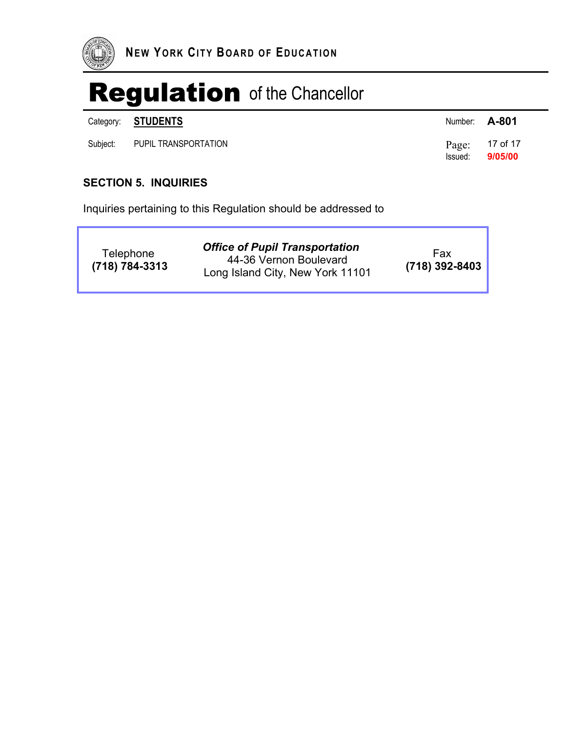

|          | Category: <b>STUDENTS</b> | Number: <b>A-801</b> |                             |
|----------|---------------------------|----------------------|-----------------------------|
| Subiect: | PUPIL TRANSPORTATION      | Issued:              | $Page: 17$ of 17<br>9/05/00 |

### **SECTION 5. INQUIRIES**

Inquiries pertaining to this Regulation should be addressed to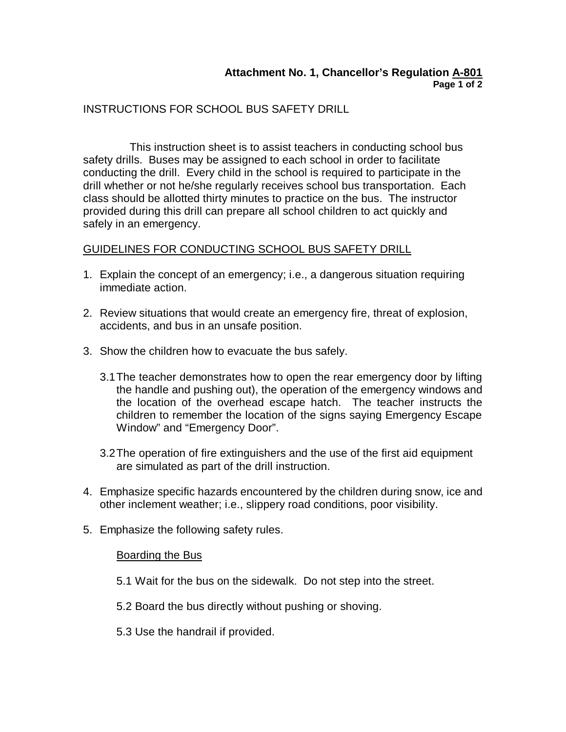### INSTRUCTIONS FOR SCHOOL BUS SAFETY DRILL

This instruction sheet is to assist teachers in conducting school bus safety drills. Buses may be assigned to each school in order to facilitate conducting the drill. Every child in the school is required to participate in the drill whether or not he/she regularly receives school bus transportation. Each class should be allotted thirty minutes to practice on the bus. The instructor provided during this drill can prepare all school children to act quickly and safely in an emergency.

### GUIDELINES FOR CONDUCTING SCHOOL BUS SAFETY DRILL

- 1. Explain the concept of an emergency; i.e., a dangerous situation requiring immediate action.
- 2. Review situations that would create an emergency fire, threat of explosion, accidents, and bus in an unsafe position.
- 3. Show the children how to evacuate the bus safely.
	- 3.1The teacher demonstrates how to open the rear emergency door by lifting the handle and pushing out), the operation of the emergency windows and the location of the overhead escape hatch. The teacher instructs the children to remember the location of the signs saying Emergency Escape Window" and "Emergency Door".
	- 3.2The operation of fire extinguishers and the use of the first aid equipment are simulated as part of the drill instruction.
- 4. Emphasize specific hazards encountered by the children during snow, ice and other inclement weather; i.e., slippery road conditions, poor visibility.
- 5. Emphasize the following safety rules.

### Boarding the Bus

- 5.1 Wait for the bus on the sidewalk. Do not step into the street.
- 5.2 Board the bus directly without pushing or shoving.
- 5.3 Use the handrail if provided.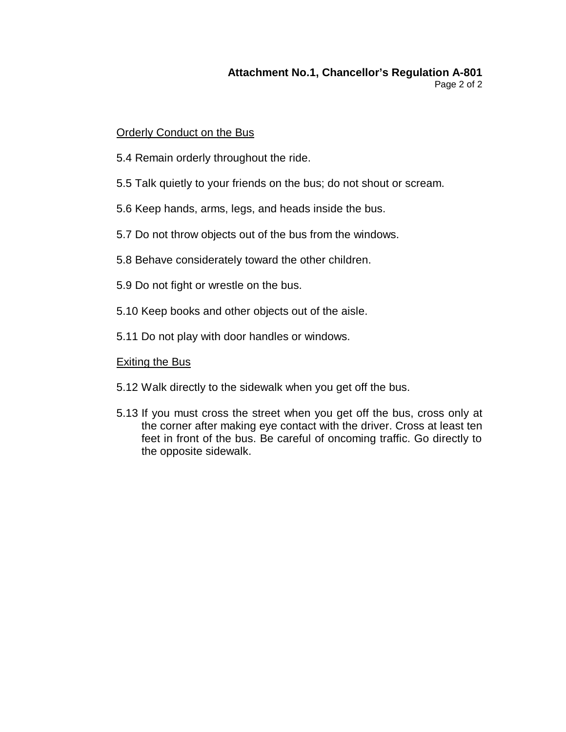#### **Attachment No.1, Chancellor's Regulation A-801** Page 2 of 2

### Orderly Conduct on the Bus

- 5.4 Remain orderly throughout the ride.
- 5.5 Talk quietly to your friends on the bus; do not shout or scream.
- 5.6 Keep hands, arms, legs, and heads inside the bus.
- 5.7 Do not throw objects out of the bus from the windows.
- 5.8 Behave considerately toward the other children.
- 5.9 Do not fight or wrestle on the bus.
- 5.10 Keep books and other objects out of the aisle.
- 5.11 Do not play with door handles or windows.

### Exiting the Bus

- 5.12 Walk directly to the sidewalk when you get off the bus.
- 5.13 If you must cross the street when you get off the bus, cross only at the corner after making eye contact with the driver. Cross at least ten feet in front of the bus. Be careful of oncoming traffic. Go directly to the opposite sidewalk.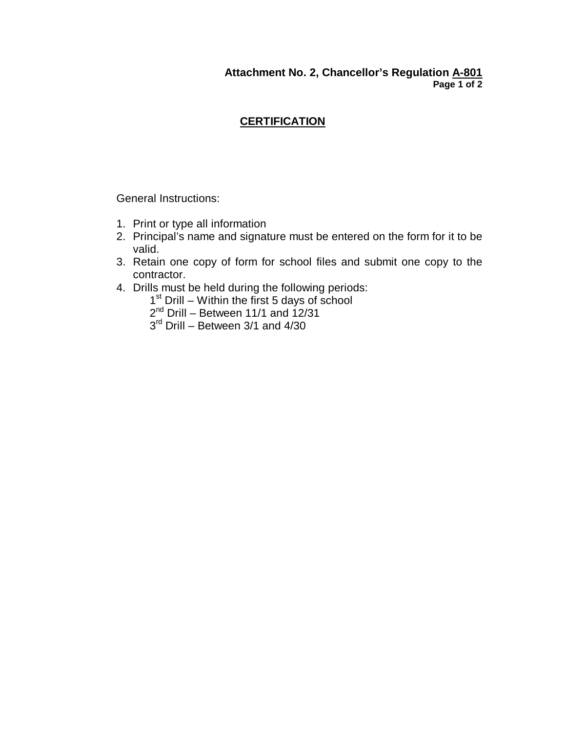## **CERTIFICATION**

General Instructions:

- 1. Print or type all information
- 2. Principal's name and signature must be entered on the form for it to be valid.
- 3. Retain one copy of form for school files and submit one copy to the contractor.
- 4. Drills must be held during the following periods:
	- 1<sup>st</sup> Drill Within the first 5 days of school
	- 2<sup>nd</sup> Drill Between 11/1 and 12/31
	- 3<sup>rd</sup> Drill Between 3/1 and 4/30